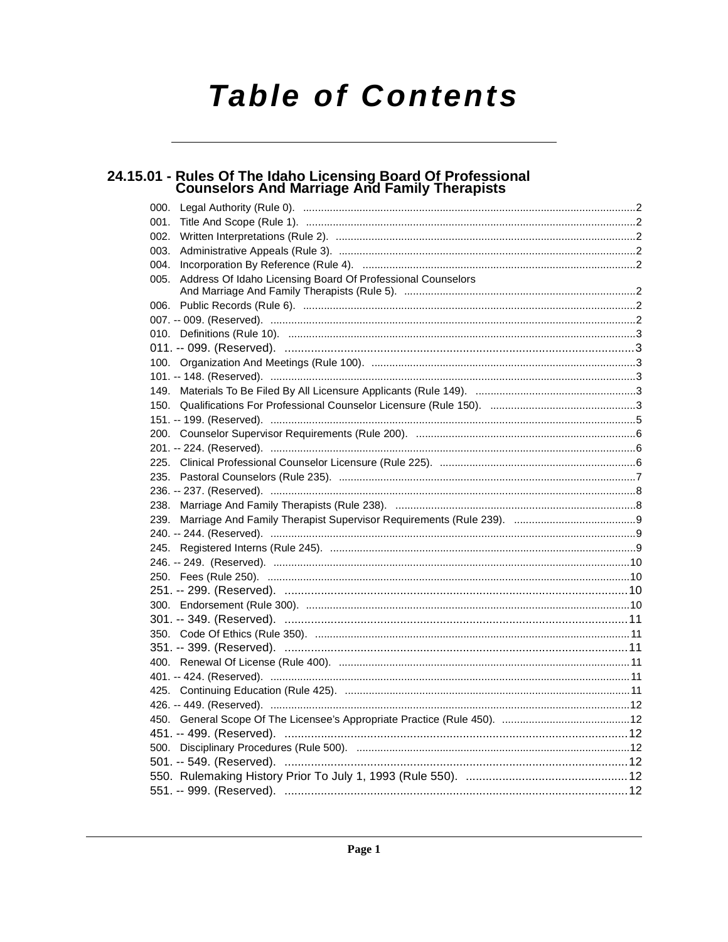# **Table of Contents**

# 24.15.01 - Rules Of The Idaho Licensing Board Of Professional<br>Counselors And Marriage And Family Therapists

| 000.                                                                |  |
|---------------------------------------------------------------------|--|
| 001.                                                                |  |
| 002.                                                                |  |
| 003.                                                                |  |
| 004.                                                                |  |
| Address Of Idaho Licensing Board Of Professional Counselors<br>005. |  |
|                                                                     |  |
|                                                                     |  |
|                                                                     |  |
|                                                                     |  |
|                                                                     |  |
|                                                                     |  |
|                                                                     |  |
|                                                                     |  |
|                                                                     |  |
|                                                                     |  |
|                                                                     |  |
|                                                                     |  |
|                                                                     |  |
|                                                                     |  |
|                                                                     |  |
|                                                                     |  |
|                                                                     |  |
|                                                                     |  |
|                                                                     |  |
|                                                                     |  |
|                                                                     |  |
|                                                                     |  |
|                                                                     |  |
|                                                                     |  |
|                                                                     |  |
|                                                                     |  |
|                                                                     |  |
|                                                                     |  |
|                                                                     |  |
|                                                                     |  |
|                                                                     |  |
|                                                                     |  |
|                                                                     |  |
|                                                                     |  |
|                                                                     |  |
|                                                                     |  |
|                                                                     |  |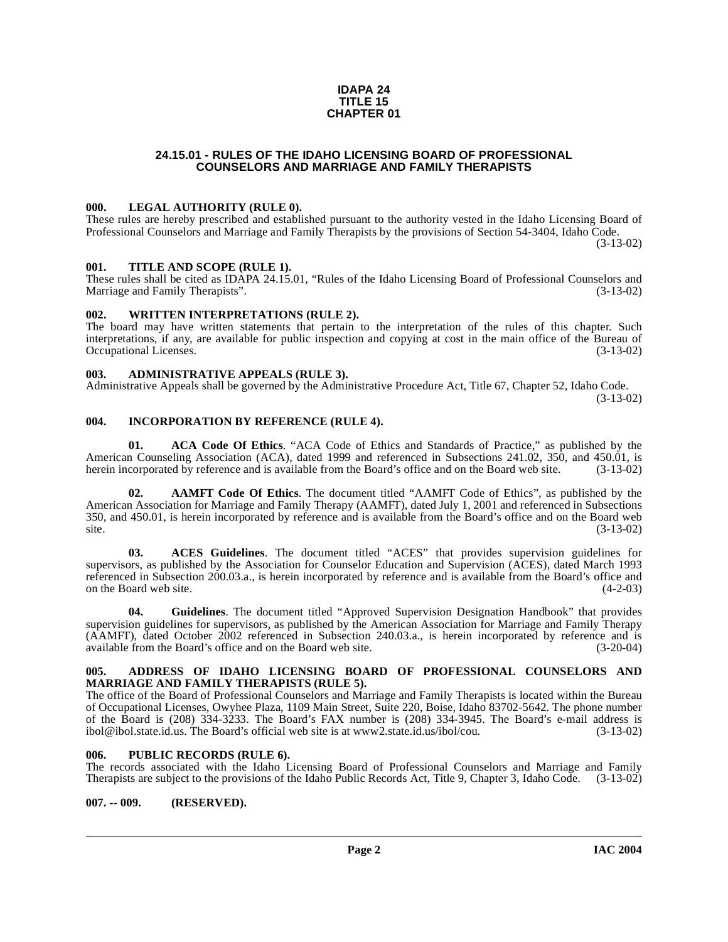#### **IDAPA 24 TITLE 15 CHAPTER 01**

# **24.15.01 - RULES OF THE IDAHO LICENSING BOARD OF PROFESSIONAL COUNSELORS AND MARRIAGE AND FAMILY THERAPISTS**

# <span id="page-1-1"></span><span id="page-1-0"></span>**000. LEGAL AUTHORITY (RULE 0).**

These rules are hereby prescribed and established pursuant to the authority vested in the Idaho Licensing Board of Professional Counselors and Marriage and Family Therapists by the provisions of Section 54-3404, Idaho Code. (3-13-02)

### <span id="page-1-2"></span>**001. TITLE AND SCOPE (RULE 1).**

These rules shall be cited as IDAPA 24.15.01, "Rules of the Idaho Licensing Board of Professional Counselors and Marriage and Family Therapists". (3-13-02)

# <span id="page-1-3"></span>**002. WRITTEN INTERPRETATIONS (RULE 2).**

The board may have written statements that pertain to the interpretation of the rules of this chapter. Such interpretations, if any, are available for public inspection and copying at cost in the main office of the Bureau of Occupational Licenses. (3-13-02)

# <span id="page-1-4"></span>**003. ADMINISTRATIVE APPEALS (RULE 3).**

Administrative Appeals shall be governed by the Administrative Procedure Act, Title 67, Chapter 52, Idaho Code.

(3-13-02)

# <span id="page-1-5"></span>**004. INCORPORATION BY REFERENCE (RULE 4).**

**01. ACA Code Of Ethics**. "ACA Code of Ethics and Standards of Practice," as published by the American Counseling Association (ACA), dated 1999 and referenced in Subsections 241.02, 350, and 450.01, is herein incorporated by reference and is available from the Board's office and on the Board web site. (3-13-02)

**02. AAMFT Code Of Ethics**. The document titled "AAMFT Code of Ethics", as published by the American Association for Marriage and Family Therapy (AAMFT), dated July 1, 2001 and referenced in Subsections 350, and 450.01, is herein incorporated by reference and is available from the Board's office and on the Board web  $site.$  (3-13-02)

**03. ACES Guidelines**. The document titled "ACES" that provides supervision guidelines for supervisors, as published by the Association for Counselor Education and Supervision (ACES), dated March 1993 referenced in Subsection 200.03.a., is herein incorporated by reference and is available from the Board's office and on the Board web site.

**04. Guidelines**. The document titled "Approved Supervision Designation Handbook" that provides supervision guidelines for supervisors, as published by the American Association for Marriage and Family Therapy (AAMFT), dated October 2002 referenced in Subsection 240.03.a., is herein incorporated by reference and is available from the Board's office and on the Board web site. (3-20-04)

#### <span id="page-1-6"></span>**005. ADDRESS OF IDAHO LICENSING BOARD OF PROFESSIONAL COUNSELORS AND MARRIAGE AND FAMILY THERAPISTS (RULE 5).**

[The office of the Board of Professional Counselors and Marriage and Family Therapists is located within the Bureau](http://www2.state.id.us/ibol/cou) of Occupational Licenses, Owyhee Plaza, 1109 Main Street, Suite 220, Boise, Idaho 83702-5642. The phone number of the Board is (208) 334-3233. The Board's FAX number is (208) 334-3945. The Board's e-mail address is ibol@ibol.state.id.us. The Board's official web site is at www.2.state.id.us/ibol/cou. (3-13-02) ibol@ibol.state.id.us. The Board's official web site is at www2.state.id.us/ibol/cou.

# <span id="page-1-7"></span>**006. PUBLIC RECORDS (RULE 6).**

The records associated with the Idaho Licensing Board of Professional Counselors and Marriage and Family Therapists are subject to the provisions of the Idaho Public Records Act, Title 9, Chapter 3, Idaho Code. (3-13-02)

### <span id="page-1-8"></span>**007. -- 009. (RESERVED).**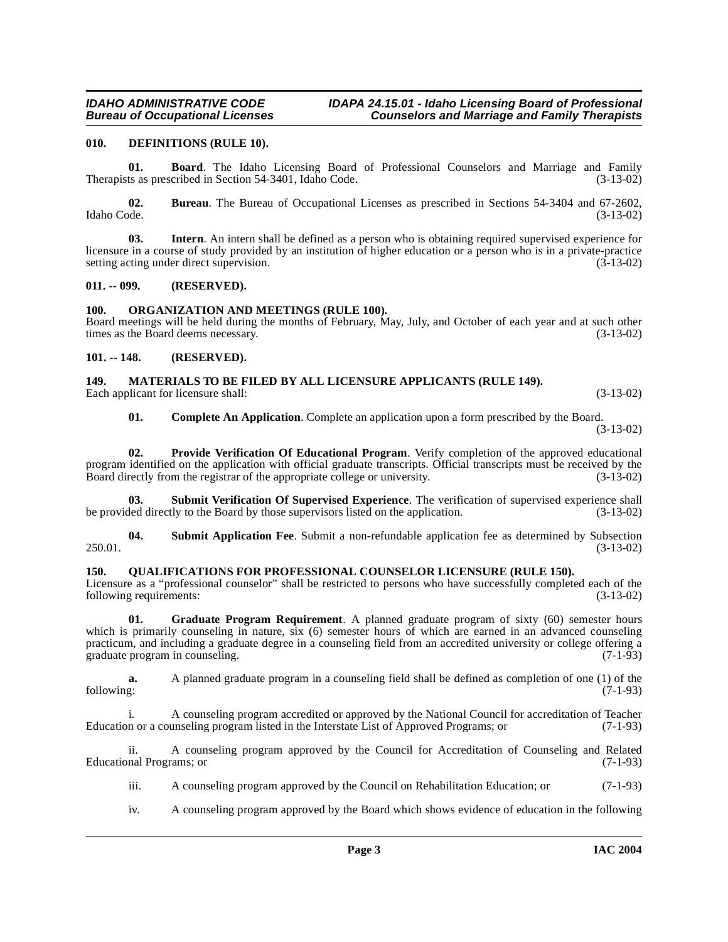# <span id="page-2-6"></span><span id="page-2-0"></span>**010. DEFINITIONS (RULE 10).**

**01. Board**. The Idaho Licensing Board of Professional Counselors and Marriage and Family ts as prescribed in Section 54-3401. Idaho Code. (3-13-02) Therapists as prescribed in Section 54-3401, Idaho Code.

**02.** Bureau. The Bureau of Occupational Licenses as prescribed in Sections 54-3404 and 67-2602, Idaho Code. (3-13-02) Idaho Code. (3-13-02)

**03. Intern**. An intern shall be defined as a person who is obtaining required supervised experience for licensure in a course of study provided by an institution of higher education or a person who is in a private-practice setting acting under direct supervision. (3-13-02)

### <span id="page-2-1"></span>**011. -- 099. (RESERVED).**

# <span id="page-2-9"></span><span id="page-2-2"></span>**100. ORGANIZATION AND MEETINGS (RULE 100).**

Board meetings will be held during the months of February, May, July, and October of each year and at such other times as the Board deems necessary.  $(3-13-02)$ times as the Board deems necessary.

# <span id="page-2-3"></span>**101. -- 148. (RESERVED).**

#### <span id="page-2-8"></span><span id="page-2-4"></span>**149. MATERIALS TO BE FILED BY ALL LICENSURE APPLICANTS (RULE 149).** Each applicant for licensure shall: (3-13-02) (3-13-02)

<span id="page-2-13"></span><span id="page-2-12"></span>**01. Complete An Application**. Complete an application upon a form prescribed by the Board.

(3-13-02)

**02. Provide Verification Of Educational Program**. Verify completion of the approved educational program identified on the application with official graduate transcripts. Official transcripts must be received by the Board directly from the registrar of the appropriate college or university. (3-13-02) Board directly from the registrar of the appropriate college or university.

**Submit Verification Of Supervised Experience**. The verification of supervised experience shall tly to the Board by those supervisors listed on the application. (3-13-02) be provided directly to the Board by those supervisors listed on the application.

<span id="page-2-11"></span>**04.** Submit Application Fee. Submit a non-refundable application fee as determined by Subsection (3-13-02) 250.01. (3-13-02)

### <span id="page-2-10"></span><span id="page-2-5"></span>**150. QUALIFICATIONS FOR PROFESSIONAL COUNSELOR LICENSURE (RULE 150).**

Licensure as a "professional counselor" shall be restricted to persons who have successfully completed each of the following requirements: (3-13-02)

<span id="page-2-7"></span>**01. Graduate Program Requirement**. A planned graduate program of sixty (60) semester hours which is primarily counseling in nature, six (6) semester hours of which are earned in an advanced counseling practicum, and including a graduate degree in a counseling field from an accredited university or college offering a graduate program in counseling. (7-1-93)

**a.** A planned graduate program in a counseling field shall be defined as completion of one (1) of the following: (7-1-93) following: (7-1-93)

i. A counseling program accredited or approved by the National Council for accreditation of Teacher<br>n or a counseling program listed in the Interstate List of Approved Programs; or (7-1-93) Education or a counseling program listed in the Interstate List of Approved Programs; or

ii. A counseling program approved by the Council for Accreditation of Counseling and Related Educational Programs; or (7-1-93)

- iii. A counseling program approved by the Council on Rehabilitation Education; or (7-1-93)
- iv. A counseling program approved by the Board which shows evidence of education in the following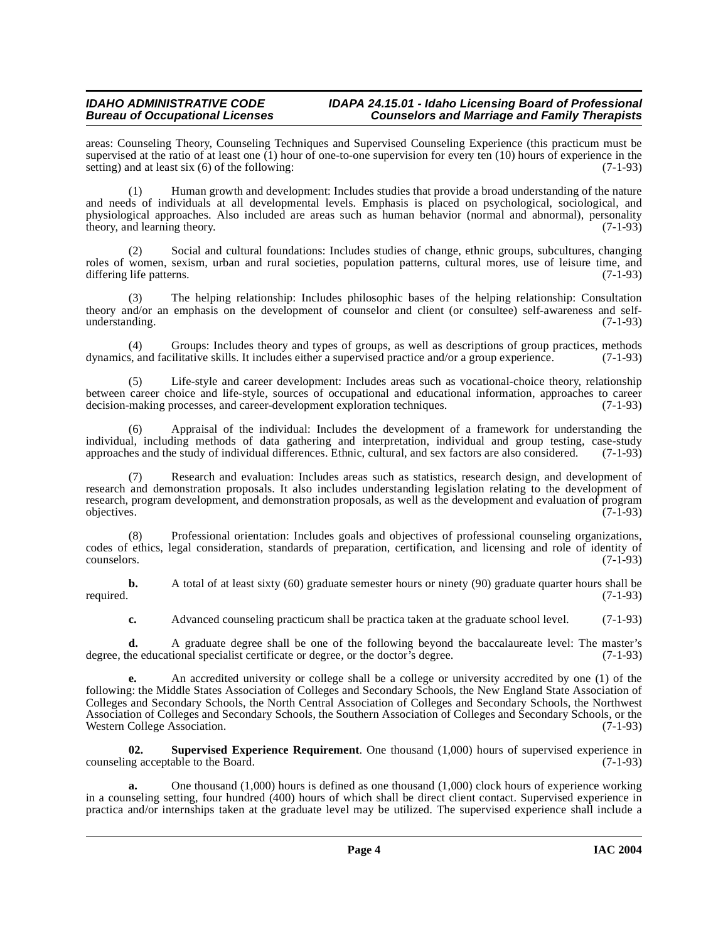# **IDAHO ADMINISTRATIVE CODE IDAPA 24.15.01 - Idaho Licensing Board of Professional<br>Counselors and Marriage and Family Therapists Counselors and Marriage and Family Therapists**

areas: Counseling Theory, Counseling Techniques and Supervised Counseling Experience (this practicum must be supervised at the ratio of at least one (1) hour of one-to-one supervision for every ten (10) hours of experience in the setting) and at least six (6) of the following: setting) and at least six  $(6)$  of the following:

(1) Human growth and development: Includes studies that provide a broad understanding of the nature and needs of individuals at all developmental levels. Emphasis is placed on psychological, sociological, and physiological approaches. Also included are areas such as human behavior (normal and abnormal), personality theory, and learning theory. (7-1-93) theory, and learning theory.

(2) Social and cultural foundations: Includes studies of change, ethnic groups, subcultures, changing roles of women, sexism, urban and rural societies, population patterns, cultural mores, use of leisure time, and differing life patterns. (7-1-93) differing life patterns.

(3) The helping relationship: Includes philosophic bases of the helping relationship: Consultation theory and/or an emphasis on the development of counselor and client (or consultee) self-awareness and selfunderstanding. (7-1-93)

(4) Groups: Includes theory and types of groups, as well as descriptions of group practices, methods dynamics, and facilitative skills. It includes either a supervised practice and/or a group experience. (7-1-93)

(5) Life-style and career development: Includes areas such as vocational-choice theory, relationship between career choice and life-style, sources of occupational and educational information, approaches to career decision-making processes, and career-development exploration techniques. (7-1-93) decision-making processes, and career-development exploration techniques.

(6) Appraisal of the individual: Includes the development of a framework for understanding the individual, including methods of data gathering and interpretation, individual and group testing, case-study approaches and the study of individual differences. Ethnic, cultural, and sex factors are also considered. (7-1-9 approaches and the study of individual differences. Ethnic, cultural, and sex factors are also considered.

(7) Research and evaluation: Includes areas such as statistics, research design, and development of research and demonstration proposals. It also includes understanding legislation relating to the development of research, program development, and demonstration proposals, as well as the development and evaluation of program objectives. (7-1-93) objectives. (7-1-93)

(8) Professional orientation: Includes goals and objectives of professional counseling organizations, codes of ethics, legal consideration, standards of preparation, certification, and licensing and role of identity of counselors. (7-1-93)

**b.** A total of at least sixty (60) graduate semester hours or ninety (90) graduate quarter hours shall be required. (7-1-93) required. (7-1-93)

**c.** Advanced counseling practicum shall be practica taken at the graduate school level. (7-1-93)

**d.** A graduate degree shall be one of the following beyond the baccalaureate level: The master's degree, the educational specialist certificate or degree, or the doctor's degree. (7-1-93)

**e.** An accredited university or college shall be a college or university accredited by one (1) of the following: the Middle States Association of Colleges and Secondary Schools, the New England State Association of Colleges and Secondary Schools, the North Central Association of Colleges and Secondary Schools, the Northwest Association of Colleges and Secondary Schools, the Southern Association of Colleges and Secondary Schools, or the Western College Association.

<span id="page-3-0"></span>**02. Supervised Experience Requirement**. One thousand (1,000) hours of supervised experience in counseling acceptable to the Board. (7-1-93)

**a.** One thousand (1,000) hours is defined as one thousand (1,000) clock hours of experience working in a counseling setting, four hundred (400) hours of which shall be direct client contact. Supervised experience in practica and/or internships taken at the graduate level may be utilized. The supervised experience shall include a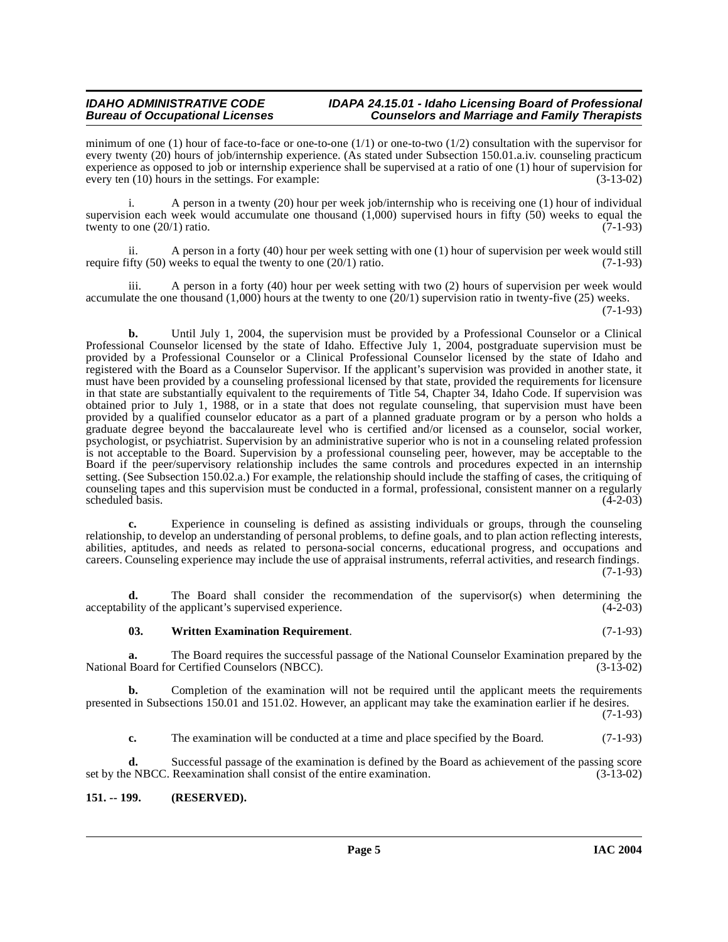# **IDAHO ADMINISTRATIVE CODE IDAPA 24.15.01 - Idaho Licensing Board of Professional<br>Bureau of Occupational Licenses Counselors and Marriage and Family Therapists Counselors and Marriage and Family Therapists**

minimum of one (1) hour of face-to-face or one-to-one  $(1/1)$  or one-to-two  $(1/2)$  consultation with the supervisor for every twenty (20) hours of job/internship experience. (As stated under Subsection 150.01.a.iv. counseling practicum experience as opposed to job or internship experience shall be supervised at a ratio of one (1) hour of supervision for every ten (10) hours in the settings. For example: (3-13-02)

i. A person in a twenty (20) hour per week job/internship who is receiving one (1) hour of individual supervision each week would accumulate one thousand  $(1,000)$  supervised hours in fifty (50) weeks to equal the twenty to one  $(20/1)$  ratio.  $(7-1-93)$ twenty to one  $(20/1)$  ratio.

ii. A person in a forty (40) hour per week setting with one (1) hour of supervision per week would still require fifty  $(50)$  weeks to equal the twenty to one  $(20/1)$  ratio.  $(7-1-93)$ 

iii. A person in a forty (40) hour per week setting with two (2) hours of supervision per week would accumulate the one thousand (1,000) hours at the twenty to one (20/1) supervision ratio in twenty-five (25) weeks.  $(7-1-93)$ 

**b.** Until July 1, 2004, the supervision must be provided by a Professional Counselor or a Clinical Professional Counselor licensed by the state of Idaho. Effective July 1, 2004, postgraduate supervision must be provided by a Professional Counselor or a Clinical Professional Counselor licensed by the state of Idaho and registered with the Board as a Counselor Supervisor. If the applicant's supervision was provided in another state, it must have been provided by a counseling professional licensed by that state, provided the requirements for licensure in that state are substantially equivalent to the requirements of Title 54, Chapter 34, Idaho Code. If supervision was obtained prior to July 1, 1988, or in a state that does not regulate counseling, that supervision must have been provided by a qualified counselor educator as a part of a planned graduate program or by a person who holds a graduate degree beyond the baccalaureate level who is certified and/or licensed as a counselor, social worker, psychologist, or psychiatrist. Supervision by an administrative superior who is not in a counseling related profession is not acceptable to the Board. Supervision by a professional counseling peer, however, may be acceptable to the Board if the peer/supervisory relationship includes the same controls and procedures expected in an internship setting. (See Subsection 150.02.a.) For example, the relationship should include the staffing of cases, the critiquing of counseling tapes and this supervision must be conducted in a formal, professional, consistent manner on a regularly scheduled basis.

**c.** Experience in counseling is defined as assisting individuals or groups, through the counseling relationship, to develop an understanding of personal problems, to define goals, and to plan action reflecting interests, abilities, aptitudes, and needs as related to persona-social concerns, educational progress, and occupations and careers. Counseling experience may include the use of appraisal instruments, referral activities, and research findings.  $(7-1-93)$ 

**d.** The Board shall consider the recommendation of the supervisor(s) when determining the ility of the applicant's supervised experience. (4-2-03) acceptability of the applicant's supervised experience.

### <span id="page-4-1"></span>**03. Written Examination Requirement**. (7-1-93)

**a.** The Board requires the successful passage of the National Counselor Examination prepared by the Board for Certified Counselors (NBCC).  $(3-13-02)$ National Board for Certified Counselors (NBCC).

**b.** Completion of the examination will not be required until the applicant meets the requirements presented in Subsections 150.01 and 151.02. However, an applicant may take the examination earlier if he desires.

(7-1-93)

**c.** The examination will be conducted at a time and place specified by the Board. (7-1-93)

**d.** Successful passage of the examination is defined by the Board as achievement of the passing score set by the NBCC. Reexamination shall consist of the entire examination. (3-13-02)

# <span id="page-4-0"></span>**151. -- 199. (RESERVED).**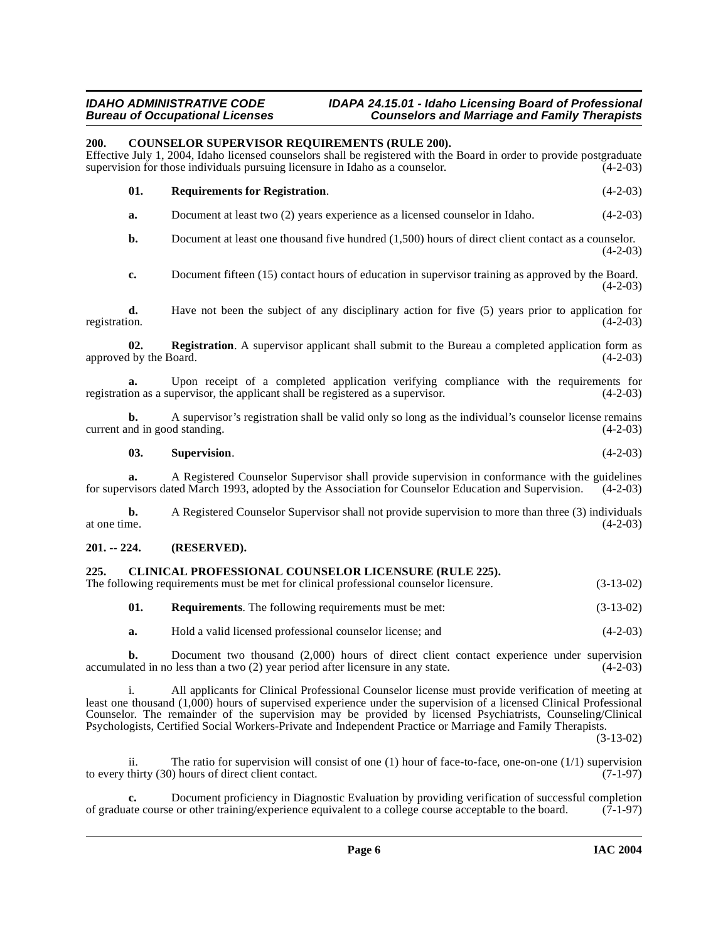# **IDAHO ADMINISTRATIVE CODE IDAPA 24.15.01 - Idaho Licensing Board of Professional Counselors and Marriage and Family Therapists**

# <span id="page-5-4"></span><span id="page-5-0"></span>**200. COUNSELOR SUPERVISOR REQUIREMENTS (RULE 200).**

Effective July 1, 2004, Idaho licensed counselors shall be registered with the Board in order to provide postgraduate supervision for those individuals pursuing licensure in Idaho as a counselor.

<span id="page-5-5"></span>

| 01. | <b>Requirements for Registration.</b> |  |  |  |  |  | $(4-2-03)$ |  |
|-----|---------------------------------------|--|--|--|--|--|------------|--|
|     |                                       |  |  |  |  |  |            |  |

**a.** Document at least two (2) years experience as a licensed counselor in Idaho.  $(4-2-03)$ 

**b.** Document at least one thousand five hundred (1,500) hours of direct client contact as a counselor.  $(4-2-03)$ 

**c.** Document fifteen (15) contact hours of education in supervisor training as approved by the Board.  $(4-2-03)$ 

**d.** Have not been the subject of any disciplinary action for five (5) years prior to application for registration.  $(4-2-03)$ registration. (4-2-03)

**02. Registration**. A supervisor applicant shall submit to the Bureau a completed application form as approved by the Board. (4-2-03)

**a.** Upon receipt of a completed application verifying compliance with the requirements for on as a supervisor, the applicant shall be registered as a supervisor. (4-2-03) registration as a supervisor, the applicant shall be registered as a supervisor.

**b.** A supervisor's registration shall be valid only so long as the individual's counselor license remains current and in good standing. (4-2-03)

**03. Supervision**. (4-2-03)

**a.** A Registered Counselor Supervisor shall provide supervision in conformance with the guidelines for supervisors dated March 1993, adopted by the Association for Counselor Education and Supervision. (4-2-03)

**b.** A Registered Counselor Supervisor shall not provide supervision to more than three (3) individuals at one time.  $(4-2-03)$ at one time.  $(4-2-03)$ 

# <span id="page-5-1"></span>**201. -- 224. (RESERVED).**

# <span id="page-5-3"></span><span id="page-5-2"></span>**225. CLINICAL PROFESSIONAL COUNSELOR LICENSURE (RULE 225).**

The following requirements must be met for clinical professional counselor licensure. (3-13-02)

- **01. Requirements**. The following requirements must be met: (3-13-02)
- **a.** Hold a valid licensed professional counselor license; and (4-2-03)

**b.** Document two thousand (2,000) hours of direct client contact experience under supervision ated in no less than a two (2) year period after licensure in any state. (4-2-03) accumulated in no less than a two  $(2)$  year period after licensure in any state.

i. All applicants for Clinical Professional Counselor license must provide verification of meeting at least one thousand (1,000) hours of supervised experience under the supervision of a licensed Clinical Professional Counselor. The remainder of the supervision may be provided by licensed Psychiatrists, Counseling/Clinical Psychologists, Certified Social Workers-Private and Independent Practice or Marriage and Family Therapists.

(3-13-02)

ii. The ratio for supervision will consist of one (1) hour of face-to-face, one-on-one (1/1) supervision to every thirty  $(30)$  hours of direct client contact.  $(7-1-97)$ 

**c.** Document proficiency in Diagnostic Evaluation by providing verification of successful completion ate course or other training/experience equivalent to a college course acceptable to the board. (7-1-97) of graduate course or other training/experience equivalent to a college course acceptable to the board.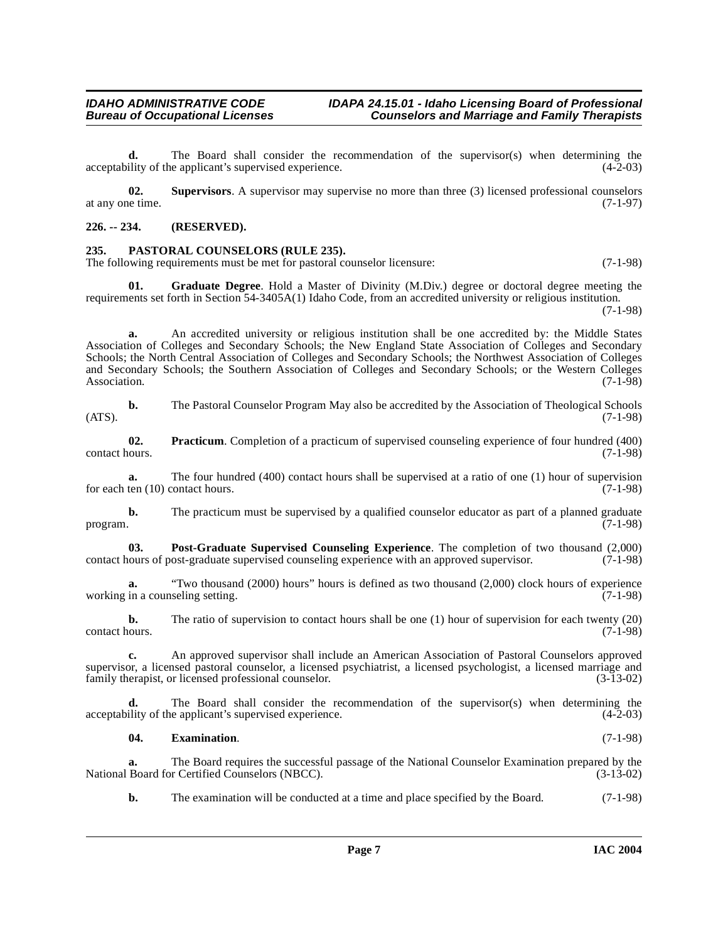# **IDAHO ADMINISTRATIVE CODE IDAPA 24.15.01 - Idaho Licensing Board of Professional<br>Bureau of Occupational Licenses Counselors and Marriage and Family Therapists**

**d.** The Board shall consider the recommendation of the supervisor(s) when determining the ility of the applicant's supervised experience. (4-2-03) acceptability of the applicant's supervised experience.

<span id="page-6-5"></span>**02. Supervisors**. A supervisor may supervise no more than three (3) licensed professional counselors at any one time. (7-1-97)

# **226. -- 234. (RESERVED).**

# <span id="page-6-0"></span>**235. PASTORAL COUNSELORS (RULE 235).**

The following requirements must be met for pastoral counselor licensure: (7-1-98)

<span id="page-6-2"></span>**01. Graduate Degree**. Hold a Master of Divinity (M.Div.) degree or doctoral degree meeting the requirements set forth in Section 54-3405A(1) Idaho Code, from an accredited university or religious institution. (7-1-98)

**a.** An accredited university or religious institution shall be one accredited by: the Middle States Association of Colleges and Secondary Schools; the New England State Association of Colleges and Secondary Schools; the North Central Association of Colleges and Secondary Schools; the Northwest Association of Colleges and Secondary Schools; the Southern Association of Colleges and Secondary Schools; or the Western Colleges Association. (7-1-98) Association. (7-1-98)

**b.** The Pastoral Counselor Program May also be accredited by the Association of Theological Schools (7-1-98)  $(ATS)$ .  $(7-1-98)$ 

<span id="page-6-4"></span>**02. Practicum**. Completion of a practicum of supervised counseling experience of four hundred (400) contact hours. (7-1-98) contact hours. (7-1-98)

**a.** The four hundred (400) contact hours shall be supervised at a ratio of one (1) hour of supervision ten (10) contact hours. (7-1-98) for each ten  $(10)$  contact hours.

**b.** The practicum must be supervised by a qualified counselor educator as part of a planned graduate program.  $(7-1-98)$ program. (7-1-98)

<span id="page-6-3"></span>**03. Post-Graduate Supervised Counseling Experience**. The completion of two thousand (2,000) contact hours of post-graduate supervised counseling experience with an approved supervisor. (7-1-98)

**a.** "Two thousand (2000) hours" hours is defined as two thousand (2,000) clock hours of experience working in a counseling setting. (7-1-98)

**b.** The ratio of supervision to contact hours shall be one (1) hour of supervision for each twenty (20) contact hours. (7-1-98)

**c.** An approved supervisor shall include an American Association of Pastoral Counselors approved supervisor, a licensed pastoral counselor, a licensed psychiatrist, a licensed psychologist, a licensed marriage and family therapist, or licensed professional counselor. (3-13-02) family therapist, or licensed professional counselor.

The Board shall consider the recommendation of the supervisor(s) when determining the eapplicant's supervised experience. (4-2-03) acceptability of the applicant's supervised experience.

# <span id="page-6-1"></span>**04. Examination**. (7-1-98)

**a.** The Board requires the successful passage of the National Counselor Examination prepared by the National Board for Certified Counselors (NBCC). (3-13-02)

**b.** The examination will be conducted at a time and place specified by the Board. (7-1-98)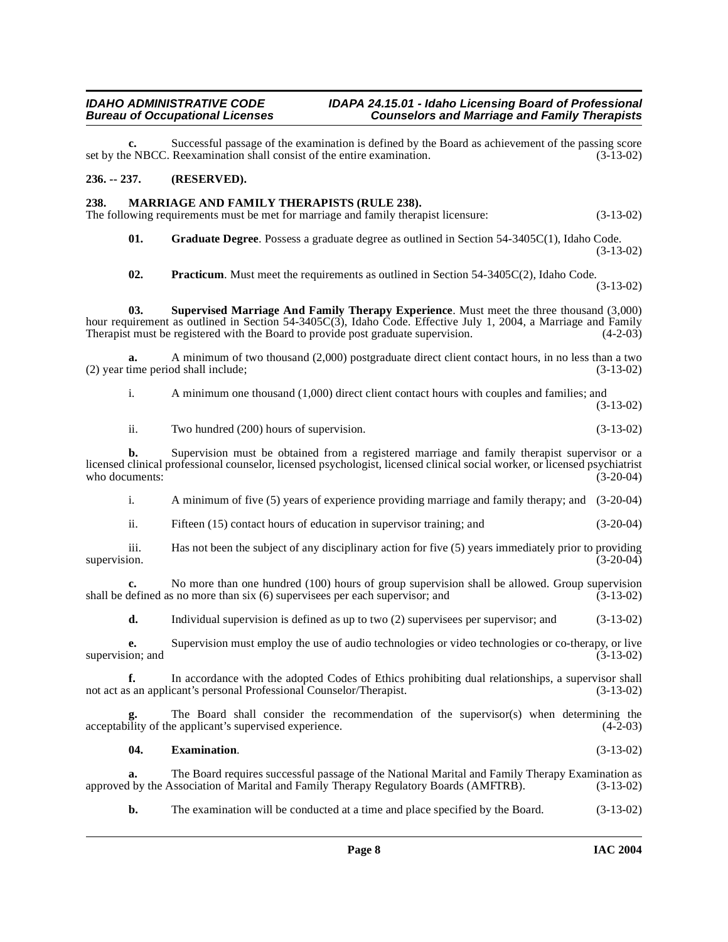**c.** Successful passage of the examination is defined by the Board as achievement of the passing score e NBCC. Reexamination shall consist of the entire examination. (3-13-02) set by the NBCC. Reexamination shall consist of the entire examination.

# <span id="page-7-0"></span>**236. -- 237. (RESERVED).**

# <span id="page-7-4"></span><span id="page-7-1"></span>**238. MARRIAGE AND FAMILY THERAPISTS (RULE 238).**

The following requirements must be met for marriage and family therapist licensure: (3-13-02)

<span id="page-7-3"></span>**01. Graduate Degree**. Possess a graduate degree as outlined in Section 54-3405C(1), Idaho Code. (3-13-02)

<span id="page-7-6"></span><span id="page-7-5"></span>**02. Practicum**. Must meet the requirements as outlined in Section 54-3405C(2), Idaho Code. (3-13-02)

**03. Supervised Marriage And Family Therapy Experience**. Must meet the three thousand (3,000) hour requirement as outlined in Section 54-3405C(3), Idaho Code. Effective July 1, 2004, a Marriage and Family<br>Therapist must be registered with the Board to provide post graduate supervision. (4-2-03) Therapist must be registered with the Board to provide post graduate supervision.

**a.** A minimum of two thousand (2,000) postgraduate direct client contact hours, in no less than a two (2) year time period shall include; (3-13-02)

i. A minimum one thousand (1,000) direct client contact hours with couples and families; and (3-13-02)

ii. Two hundred (200) hours of supervision. (3-13-02)

**b.** Supervision must be obtained from a registered marriage and family therapist supervisor or a licensed clinical professional counselor, licensed psychologist, licensed clinical social worker, or licensed psychiatrist who documents:

i. A minimum of five (5) years of experience providing marriage and family therapy; and (3-20-04)

ii. Fifteen (15) contact hours of education in supervisor training; and (3-20-04)

iii. Has not been the subject of any disciplinary action for five (5) years immediately prior to providing supervision. (3-20-04)

**c.** No more than one hundred (100) hours of group supervision shall be allowed. Group supervision defined as no more than six (6) supervisees per each supervisor; and (3-13-02) shall be defined as no more than  $s$ ix  $(6)$  supervisees per each supervisor; and

**d.** Individual supervision is defined as up to two (2) supervisees per supervisor; and (3-13-02)

**e.** Supervision must employ the use of audio technologies or video technologies or co-therapy, or live ion; and  $(3-13-02)$ supervision; and

**f.** In accordance with the adopted Codes of Ethics prohibiting dual relationships, a supervisor shall s an applicant's personal Professional Counselor/Therapist. (3-13-02) not act as an applicant's personal Professional Counselor/Therapist.

The Board shall consider the recommendation of the supervisor(s) when determining the e applicant's supervised experience. (4-2-03) acceptability of the applicant's supervised experience.

### <span id="page-7-2"></span>**04. Examination**. (3-13-02)

**a.** The Board requires successful passage of the National Marital and Family Therapy Examination as 1 by the Association of Marital and Family Therapy Regulatory Boards (AMFTRB). (3-13-02) approved by the Association of Marital and Family Therapy Regulatory Boards (AMFTRB).

**b.** The examination will be conducted at a time and place specified by the Board. (3-13-02)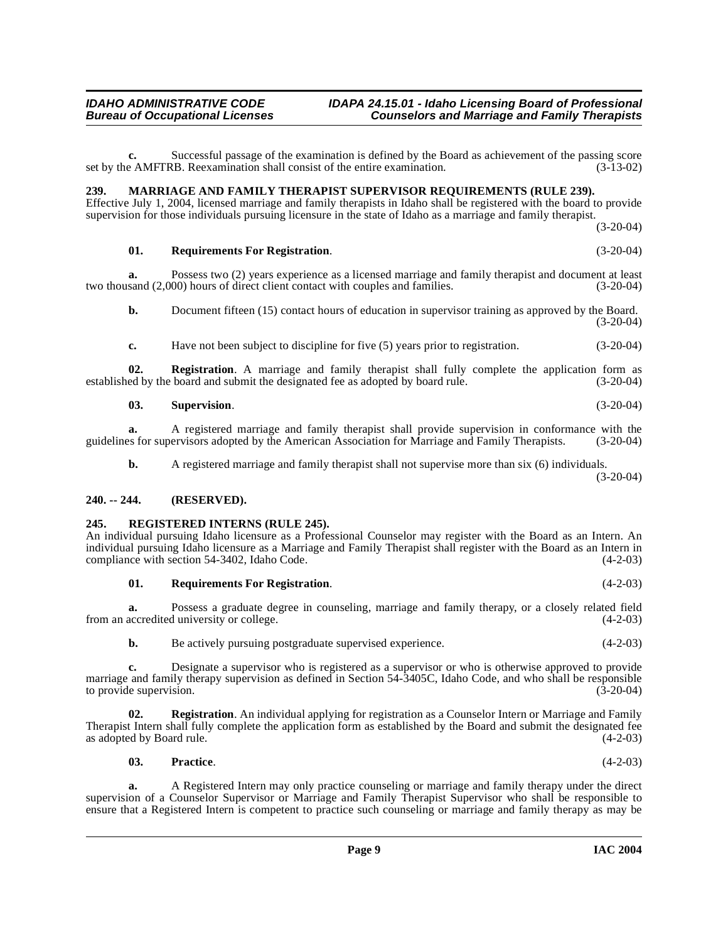**c.** Successful passage of the examination is defined by the Board as achievement of the passing score e AMFTRB. Reexamination shall consist of the entire examination. (3-13-02) set by the AMFTRB. Reexamination shall consist of the entire examination.

# <span id="page-8-3"></span><span id="page-8-0"></span>**239. MARRIAGE AND FAMILY THERAPIST SUPERVISOR REQUIREMENTS (RULE 239).**

Effective July 1, 2004, licensed marriage and family therapists in Idaho shall be registered with the board to provide supervision for those individuals pursuing licensure in the state of Idaho as a marriage and family therapist.

(3-20-04)

### **01. Requirements For Registration**. (3-20-04)

**a.** Possess two (2) years experience as a licensed marriage and family therapist and document at least sand (2.000) hours of direct client contact with couples and families. (3-20-04) two thousand  $(2,000)$  hours of direct client contact with couples and families.

**b.** Document fifteen (15) contact hours of education in supervisor training as approved by the Board. (3-20-04)

**c.** Have not been subject to discipline for five (5) years prior to registration.  $(3-20-04)$ 

**02. Registration**. A marriage and family therapist shall fully complete the application form as ed by the board and submit the designated fee as adopted by board rule. (3-20-04) established by the board and submit the designated fee as adopted by board rule.

#### **03. Supervision**. (3-20-04)

**a.** A registered marriage and family therapist shall provide supervision in conformance with the es for supervisors adopted by the American Association for Marriage and Family Therapists. (3-20-04) guidelines for supervisors adopted by the American Association for Marriage and Family Therapists.

**b.** A registered marriage and family therapist shall not supervise more than six (6) individuals.

(3-20-04)

# <span id="page-8-1"></span>**240. -- 244. (RESERVED).**

# <span id="page-8-4"></span><span id="page-8-2"></span>**245. REGISTERED INTERNS (RULE 245).**

An individual pursuing Idaho licensure as a Professional Counselor may register with the Board as an Intern. An individual pursuing Idaho licensure as a Marriage and Family Therapist shall register with the Board as an Intern in compliance with section 54-3402, Idaho Code.

### <span id="page-8-5"></span>**01. Requirements For Registration**. (4-2-03)

**a.** Possess a graduate degree in counseling, marriage and family therapy, or a closely related field accredited university or college.  $(4-2-03)$ from an accredited university or college.

**b.** Be actively pursuing postgraduate supervised experience. (4-2-03)

**c.** Designate a supervisor who is registered as a supervisor or who is otherwise approved to provide marriage and family therapy supervision as defined in Section 54-3405C, Idaho Code, and who shall be responsible to provide supervision. (3-20-04) to provide supervision.

**02. Registration**. An individual applying for registration as a Counselor Intern or Marriage and Family Therapist Intern shall fully complete the application form as established by the Board and submit the designated fee as adopted by Board rule.

**03. Practice**. (4-2-03)

**a.** A Registered Intern may only practice counseling or marriage and family therapy under the direct supervision of a Counselor Supervisor or Marriage and Family Therapist Supervisor who shall be responsible to ensure that a Registered Intern is competent to practice such counseling or marriage and family therapy as may be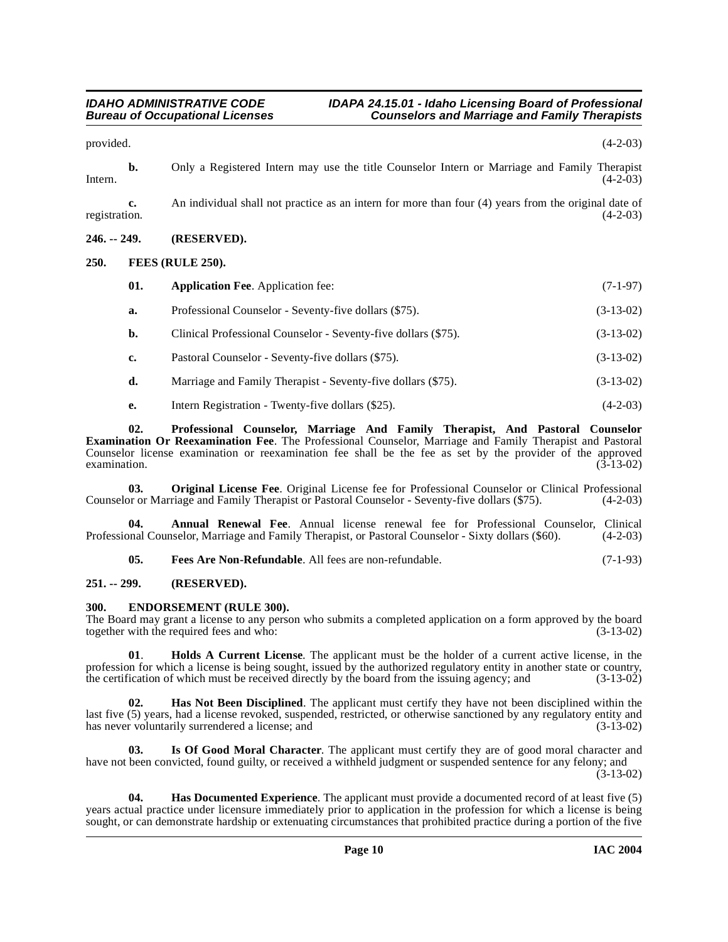provided.  $(4-2-03)$ 

**b.** Only a Registered Intern may use the title Counselor Intern or Marriage and Family Therapist Intern.  $(4-2-03)$ 

**c.** An individual shall not practice as an intern for more than four (4) years from the original date of registration. (4-2-03) registration. (4-2-03)

# <span id="page-9-0"></span>**246. -- 249. (RESERVED).**

# <span id="page-9-1"></span>**250. FEES (RULE 250).**

<span id="page-9-8"></span><span id="page-9-5"></span>

| 01. | <b>Application Fee.</b> Application fee:                       | $(7-1-97)$  |
|-----|----------------------------------------------------------------|-------------|
| a.  | Professional Counselor - Seventy-five dollars (\$75).          | $(3-13-02)$ |
| b.  | Clinical Professional Counselor - Seventy-five dollars (\$75). | $(3-13-02)$ |
| c.  | Pastoral Counselor - Seventy-five dollars (\$75).              | $(3-13-02)$ |
| d.  | Marriage and Family Therapist - Seventy-five dollars (\$75).   | $(3-13-02)$ |

<span id="page-9-13"></span><span id="page-9-12"></span>**e.** Intern Registration - Twenty-five dollars (\$25). (4-2-03)

**02. Professional Counselor, Marriage And Family Therapist, And Pastoral Counselor Examination Or Reexamination Fee**. The Professional Counselor, Marriage and Family Therapist and Pastoral Counselor license examination or reexamination fee shall be the fee as set by the provider of the approved examination.  $(3-13-02)$ examination.  $(3-13-02)$ 

**03. Original License Fee**. Original License fee for Professional Counselor or Clinical Professional or or Marriage and Family Therapist or Pastoral Counselor - Seventy-five dollars (\$75). (4-2-03) Counselor or Marriage and Family Therapist or Pastoral Counselor - Seventy-five dollars (\$75).

**04. Annual Renewal Fee**. Annual license renewal fee for Professional Counselor, Clinical Professional Counselor, Marriage and Family Therapist, or Pastoral Counselor - Sixty dollars (\$60). (4-2-03)

<span id="page-9-7"></span><span id="page-9-6"></span><span id="page-9-4"></span>**05. Fees Are Non-Refundable**. All fees are non-refundable. (7-1-93)

# <span id="page-9-2"></span>**251. -- 299. (RESERVED).**

# <span id="page-9-3"></span>**300. ENDORSEMENT (RULE 300).**

The Board may grant a license to any person who submits a completed application on a form approved by the board together with the required fees and who:  $(3-13-02)$ together with the required fees and who:

<span id="page-9-11"></span>**01**. **Holds A Current License**. The applicant must be the holder of a current active license, in the profession for which a license is being sought, issued by the authorized regulatory entity in another state or country, the certification of which must be received directly by the board from the issuing agency; and (3-13-0 the certification of which must be received directly by the board from the issuing agency; and

<span id="page-9-10"></span>**Has Not Been Disciplined**. The applicant must certify they have not been disciplined within the last five (5) years, had a license revoked, suspended, restricted, or otherwise sanctioned by any regulatory entity and has never voluntarily surrendered a license; and  $(3-13-02)$ has never voluntarily surrendered a license; and

<span id="page-9-9"></span>**03. Is Of Good Moral Character**. The applicant must certify they are of good moral character and have not been convicted, found guilty, or received a withheld judgment or suspended sentence for any felony; and (3-13-02)

**04. Has Documented Experience**. The applicant must provide a documented record of at least five (5) years actual practice under licensure immediately prior to application in the profession for which a license is being sought, or can demonstrate hardship or extenuating circumstances that prohibited practice during a portion of the five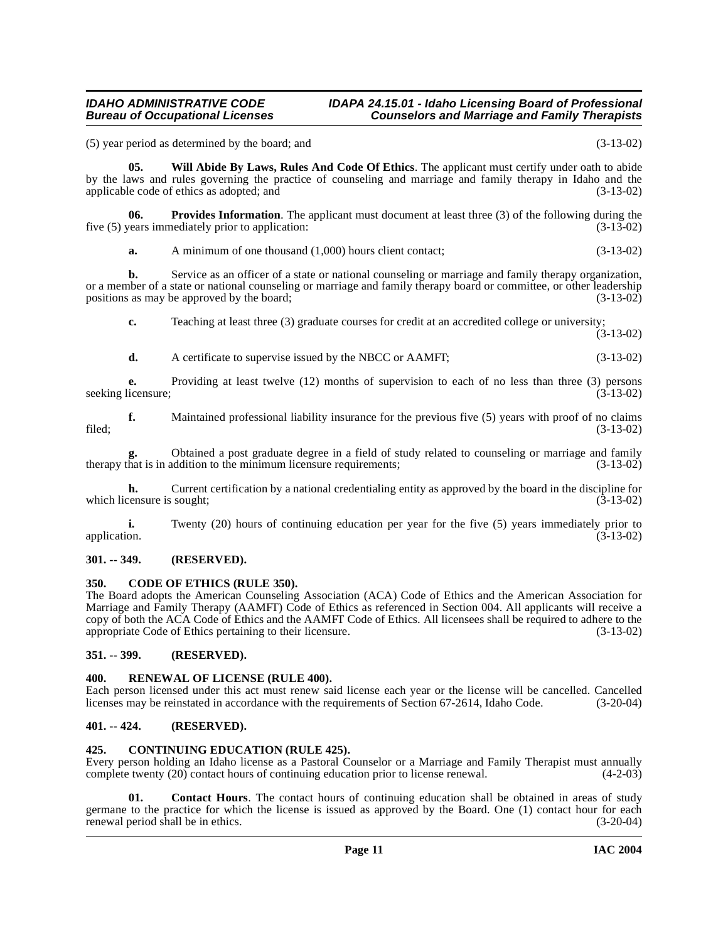### **IDAHO ADMINISTRATIVE CODE IDAPA 24.15.01 - Idaho Licensing Board of Professional Bureau Counselors and Marriage and Family Therapists**

(5) year period as determined by the board; and (3-13-02)

<span id="page-10-6"></span>**05. Will Abide By Laws, Rules And Code Of Ethics**. The applicant must certify under oath to abide by the laws and rules governing the practice of counseling and marriage and family therapy in Idaho and the applicable code of ethics as adopted; and (3-13-02)

**06. Provides Information**. The applicant must document at least three (3) of the following during the years immediately prior to application: (3-13-02) five  $(5)$  years immediately prior to application:

<span id="page-10-10"></span>**a.** A minimum of one thousand (1,000) hours client contact; (3-13-02)

**b.** Service as an officer of a state or national counseling or marriage and family therapy organization, or a member of a state or national counseling or marriage and family therapy board or committee, or other leadership positions as may be approved by the board; (3-13-02)

**c.** Teaching at least three (3) graduate courses for credit at an accredited college or university;

 $(3-13-02)$ 

**d.** A certificate to supervise issued by the NBCC or AAMFT;  $(3-13-02)$ 

**e.** Providing at least twelve (12) months of supervision to each of no less than three (3) persons licensure; (3-13-02) seeking licensure;

**f.** Maintained professional liability insurance for the previous five (5) years with proof of no claims  $\text{field};$  (3-13-02)

Obtained a post graduate degree in a field of study related to counseling or marriage and family addition to the minimum licensure requirements;<br>(3-13-02) therapy that is in addition to the minimum licensure requirements;

**h.** Current certification by a national credentialing entity as approved by the board in the discipline for censure is sought: (3-13-02) which licensure is sought;

**i.** Twenty (20) hours of continuing education per year for the five (5) years immediately prior to application. (3-13-02) application.  $(3-13-02)$ 

# <span id="page-10-0"></span>**301. -- 349. (RESERVED).**

### <span id="page-10-7"></span><span id="page-10-1"></span>**350. CODE OF ETHICS (RULE 350).**

The Board adopts the American Counseling Association (ACA) Code of Ethics and the American Association for Marriage and Family Therapy (AAMFT) Code of Ethics as referenced in Section 004. All applicants will receive a copy of both the ACA Code of Ethics and the AAMFT Code of Ethics. All licensees shall be required to adhere to the appropriate Code of Ethics pertaining to their licensure. (3-13-02)

# <span id="page-10-2"></span>**351. -- 399. (RESERVED).**

### <span id="page-10-11"></span><span id="page-10-3"></span>**400. RENEWAL OF LICENSE (RULE 400).**

Each person licensed under this act must renew said license each year or the license will be cancelled. Cancelled licenses may be reinstated in accordance with the requirements of Section 67-2614, Idaho Code. (3-20-04)

# <span id="page-10-4"></span>**401. -- 424. (RESERVED).**

### <span id="page-10-9"></span><span id="page-10-5"></span>**425. CONTINUING EDUCATION (RULE 425).**

Every person holding an Idaho license as a Pastoral Counselor or a Marriage and Family Therapist must annually complete twenty (20) contact hours of continuing education prior to license renewal. (4-2-03)

<span id="page-10-8"></span>**01.** Contact Hours. The contact hours of continuing education shall be obtained in areas of study germane to the practice for which the license is issued as approved by the Board. One (1) contact hour for each renewal period shall be in ethics. (3-20-04)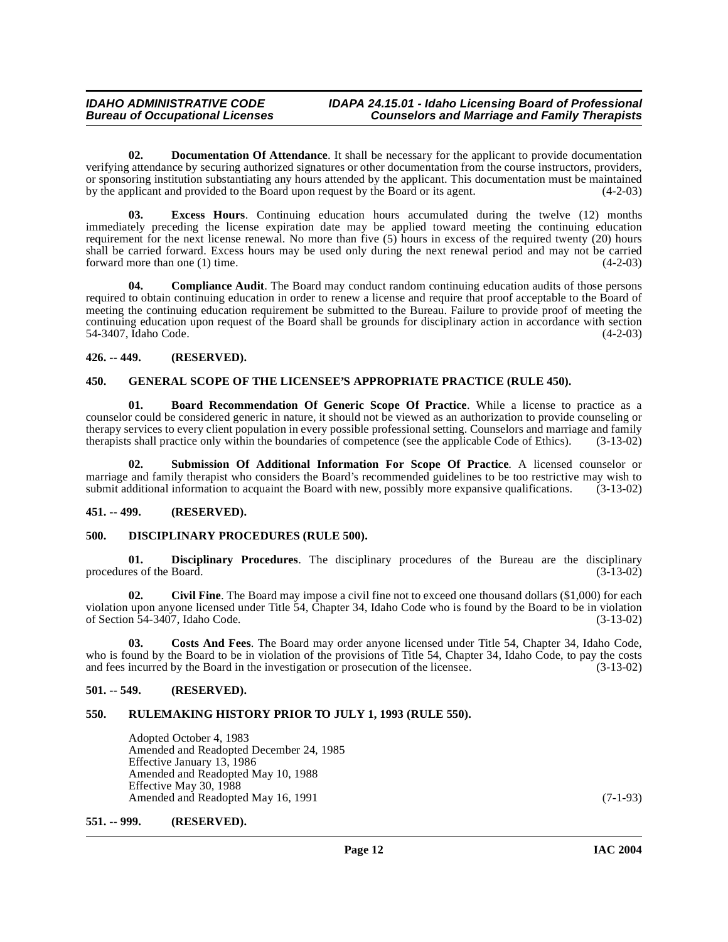# **IDAHO ADMINISTRATIVE CODE IDAPA 24.15.01 - Idaho Licensing Board of Professional Counselors and Marriage and Family Therapists**

**02. Documentation Of Attendance**. It shall be necessary for the applicant to provide documentation verifying attendance by securing authorized signatures or other documentation from the course instructors, providers, or sponsoring institution substantiating any hours attended by the applicant. This documentation must be maintained by the applicant and provided to the Board upon request by the Board or its agent. (4-2-03)

**03. Excess Hours**. Continuing education hours accumulated during the twelve (12) months immediately preceding the license expiration date may be applied toward meeting the continuing education requirement for the next license renewal. No more than five (5) hours in excess of the required twenty (20) hours shall be carried forward. Excess hours may be used only during the next renewal period and may not be carried forward more than one (1) time.  $(4-2-03)$ 

**04. Compliance Audit**. The Board may conduct random continuing education audits of those persons required to obtain continuing education in order to renew a license and require that proof acceptable to the Board of meeting the continuing education requirement be submitted to the Bureau. Failure to provide proof of meeting the continuing education upon request of the Board shall be grounds for disciplinary action in accordance with section 54-3407, Idaho Code. (4-2-03) 54-3407, Idaho Code.

# <span id="page-11-0"></span>**426. -- 449. (RESERVED).**

# <span id="page-11-11"></span><span id="page-11-1"></span>**450. GENERAL SCOPE OF THE LICENSEE'S APPROPRIATE PRACTICE (RULE 450).**

<span id="page-11-7"></span>**01. Board Recommendation Of Generic Scope Of Practice**. While a license to practice as a counselor could be considered generic in nature, it should not be viewed as an authorization to provide counseling or therapy services to every client population in every possible professional setting. Counselors and marriage and family therapists shall practice only within the boundaries of competence (see the applicable Code of Ethics). (3-13-02)

<span id="page-11-12"></span>**02. Submission Of Additional Information For Scope Of Practice**. A licensed counselor or marriage and family therapist who considers the Board's recommended guidelines to be too restrictive may wish to submit additional information to acquaint the Board with new, possibly more expansive qualifications. (3-13-02)

### <span id="page-11-2"></span>**451. -- 499. (RESERVED).**

### <span id="page-11-10"></span><span id="page-11-3"></span>**500. DISCIPLINARY PROCEDURES (RULE 500).**

**01. Disciplinary Procedures**. The disciplinary procedures of the Bureau are the disciplinary procedures of the Board.

<span id="page-11-8"></span>**02.** Civil Fine. The Board may impose a civil fine not to exceed one thousand dollars (\$1,000) for each violation upon anyone licensed under Title 54, Chapter 34, Idaho Code who is found by the Board to be in violation of Section 54-3407, Idaho Code. (3-13-02) of Section 54-3407, Idaho Code.

<span id="page-11-9"></span>**03. Costs And Fees**. The Board may order anyone licensed under Title 54, Chapter 34, Idaho Code, who is found by the Board to be in violation of the provisions of Title 54, Chapter 34, Idaho Code, to pay the costs and fees incurred by the Board in the investigation or prosecution of the licensee. (3-13-02) and fees incurred by the Board in the investigation or prosecution of the licensee.

### <span id="page-11-4"></span>**501. -- 549. (RESERVED).**

# <span id="page-11-5"></span>**550. RULEMAKING HISTORY PRIOR TO JULY 1, 1993 (RULE 550).**

Adopted October 4, 1983 Amended and Readopted December 24, 1985 Effective January 13, 1986 Amended and Readopted May 10, 1988 Effective May 30, 1988 Amended and Readopted May 16, 1991 (7-1-93)

<span id="page-11-6"></span>**551. -- 999. (RESERVED).**